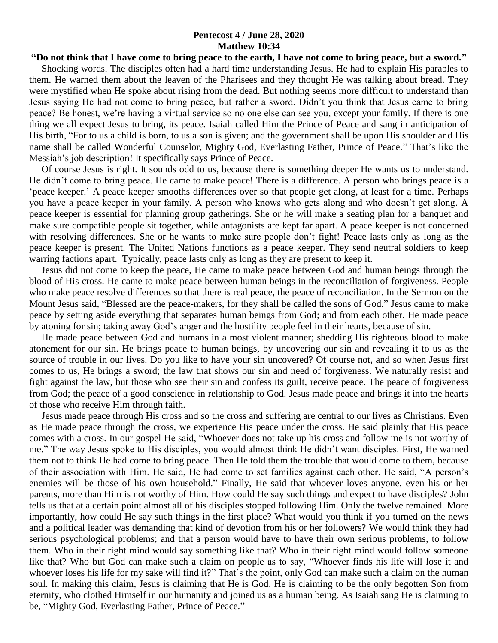## **Pentecost 4 / June 28, 2020 Matthew 10:34**

## **"Do not think that I have come to bring peace to the earth, I have not come to bring peace, but a sword."**

 Shocking words. The disciples often had a hard time understanding Jesus. He had to explain His parables to them. He warned them about the leaven of the Pharisees and they thought He was talking about bread. They were mystified when He spoke about rising from the dead. But nothing seems more difficult to understand than Jesus saying He had not come to bring peace, but rather a sword. Didn't you think that Jesus came to bring peace? Be honest, we're having a virtual service so no one else can see you, except your family. If there is one thing we all expect Jesus to bring, its peace. Isaiah called Him the Prince of Peace and sang in anticipation of His birth, "For to us a child is born, to us a son is given; and the government shall be upon His shoulder and His name shall be called Wonderful Counselor, Mighty God, Everlasting Father, Prince of Peace." That's like the Messiah's job description! It specifically says Prince of Peace.

 Of course Jesus is right. It sounds odd to us, because there is something deeper He wants us to understand. He didn't come to bring peace. He came to make peace! There is a difference. A person who brings peace is a 'peace keeper.' A peace keeper smooths differences over so that people get along, at least for a time. Perhaps you have a peace keeper in your family. A person who knows who gets along and who doesn't get along. A peace keeper is essential for planning group gatherings. She or he will make a seating plan for a banquet and make sure compatible people sit together, while antagonists are kept far apart. A peace keeper is not concerned with resolving differences. She or he wants to make sure people don't fight! Peace lasts only as long as the peace keeper is present. The United Nations functions as a peace keeper. They send neutral soldiers to keep warring factions apart. Typically, peace lasts only as long as they are present to keep it.

 Jesus did not come to keep the peace, He came to make peace between God and human beings through the blood of His cross. He came to make peace between human beings in the reconciliation of forgiveness. People who make peace resolve differences so that there is real peace, the peace of reconciliation. In the Sermon on the Mount Jesus said, "Blessed are the peace-makers, for they shall be called the sons of God." Jesus came to make peace by setting aside everything that separates human beings from God; and from each other. He made peace by atoning for sin; taking away God's anger and the hostility people feel in their hearts, because of sin.

 He made peace between God and humans in a most violent manner; shedding His righteous blood to make atonement for our sin. He brings peace to human beings, by uncovering our sin and revealing it to us as the source of trouble in our lives. Do you like to have your sin uncovered? Of course not, and so when Jesus first comes to us, He brings a sword; the law that shows our sin and need of forgiveness. We naturally resist and fight against the law, but those who see their sin and confess its guilt, receive peace. The peace of forgiveness from God; the peace of a good conscience in relationship to God. Jesus made peace and brings it into the hearts of those who receive Him through faith.

 Jesus made peace through His cross and so the cross and suffering are central to our lives as Christians. Even as He made peace through the cross, we experience His peace under the cross. He said plainly that His peace comes with a cross. In our gospel He said, "Whoever does not take up his cross and follow me is not worthy of me." The way Jesus spoke to His disciples, you would almost think He didn't want disciples. First, He warned them not to think He had come to bring peace. Then He told them the trouble that would come to them, because of their association with Him. He said, He had come to set families against each other. He said, "A person's enemies will be those of his own household." Finally, He said that whoever loves anyone, even his or her parents, more than Him is not worthy of Him. How could He say such things and expect to have disciples? John tells us that at a certain point almost all of his disciples stopped following Him. Only the twelve remained. More importantly, how could He say such things in the first place? What would you think if you turned on the news and a political leader was demanding that kind of devotion from his or her followers? We would think they had serious psychological problems; and that a person would have to have their own serious problems, to follow them. Who in their right mind would say something like that? Who in their right mind would follow someone like that? Who but God can make such a claim on people as to say, "Whoever finds his life will lose it and whoever loses his life for my sake will find it?" That's the point, only God can make such a claim on the human soul. In making this claim, Jesus is claiming that He is God. He is claiming to be the only begotten Son from eternity, who clothed Himself in our humanity and joined us as a human being. As Isaiah sang He is claiming to be, "Mighty God, Everlasting Father, Prince of Peace."